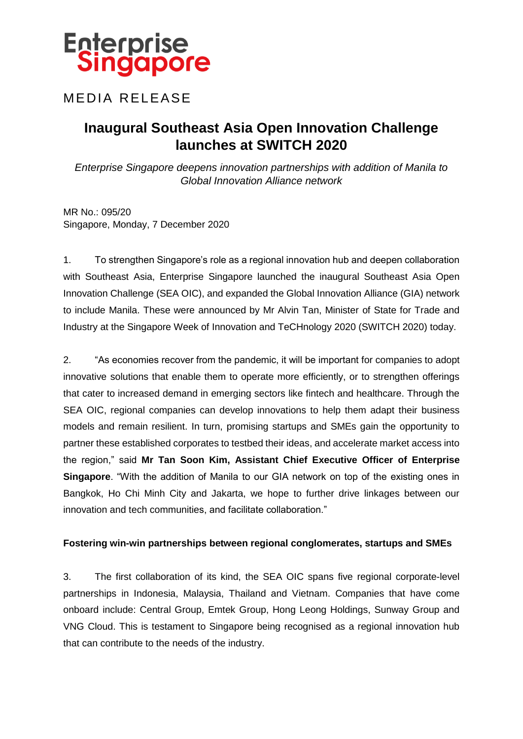### **MEDIA RELEASE**

### **Inaugural Southeast Asia Open Innovation Challenge launches at SWITCH 2020**

*Enterprise Singapore deepens innovation partnerships with addition of Manila to Global Innovation Alliance network*

MR No.: 095/20 Singapore, Monday, 7 December 2020

1. To strengthen Singapore's role as a regional innovation hub and deepen collaboration with Southeast Asia, Enterprise Singapore launched the inaugural Southeast Asia Open Innovation Challenge (SEA OIC), and expanded the Global Innovation Alliance (GIA) network to include Manila. These were announced by Mr Alvin Tan, Minister of State for Trade and Industry at the Singapore Week of Innovation and TeCHnology 2020 (SWITCH 2020) today.

2. "As economies recover from the pandemic, it will be important for companies to adopt innovative solutions that enable them to operate more efficiently, or to strengthen offerings that cater to increased demand in emerging sectors like fintech and healthcare. Through the SEA OIC, regional companies can develop innovations to help them adapt their business models and remain resilient. In turn, promising startups and SMEs gain the opportunity to partner these established corporates to testbed their ideas, and accelerate market access into the region," said **Mr Tan Soon Kim, Assistant Chief Executive Officer of Enterprise Singapore**. "With the addition of Manila to our GIA network on top of the existing ones in Bangkok, Ho Chi Minh City and Jakarta, we hope to further drive linkages between our innovation and tech communities, and facilitate collaboration."

#### **Fostering win-win partnerships between regional conglomerates, startups and SMEs**

3. The first collaboration of its kind, the SEA OIC spans five regional corporate-level partnerships in Indonesia, Malaysia, Thailand and Vietnam. Companies that have come onboard include: Central Group, Emtek Group, Hong Leong Holdings, Sunway Group and VNG Cloud. This is testament to Singapore being recognised as a regional innovation hub that can contribute to the needs of the industry.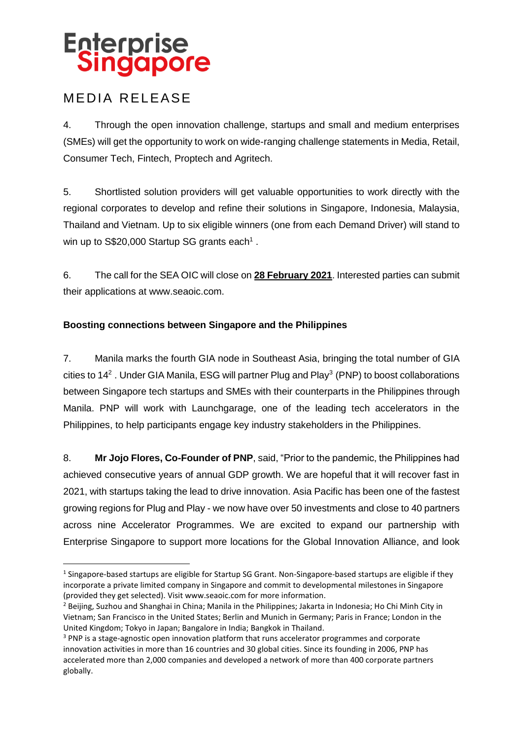### **MEDIA RELEASE**

**.** 

4. Through the open innovation challenge, startups and small and medium enterprises (SMEs) will get the opportunity to work on wide-ranging challenge statements in Media, Retail, Consumer Tech, Fintech, Proptech and Agritech.

5. Shortlisted solution providers will get valuable opportunities to work directly with the regional corporates to develop and refine their solutions in Singapore, Indonesia, Malaysia, Thailand and Vietnam. Up to six eligible winners (one from each Demand Driver) will stand to win up to S\$20,000 Startup SG grants each<sup>1</sup>.

6. The call for the SEA OIC will close on **28 February 2021**. Interested parties can submit their applications at www.seaoic.com.

#### **Boosting connections between Singapore and the Philippines**

7. Manila marks the fourth GIA node in Southeast Asia, bringing the total number of GIA cities to 14<sup>2</sup>. Under GIA Manila, ESG will partner Plug and Play<sup>3</sup> (PNP) to boost collaborations between Singapore tech startups and SMEs with their counterparts in the Philippines through Manila. PNP will work with Launchgarage, one of the leading tech accelerators in the Philippines, to help participants engage key industry stakeholders in the Philippines.

8. **Mr Jojo Flores, Co-Founder of PNP**, said, "Prior to the pandemic, the Philippines had achieved consecutive years of annual GDP growth. We are hopeful that it will recover fast in 2021, with startups taking the lead to drive innovation. Asia Pacific has been one of the fastest growing regions for Plug and Play - we now have over 50 investments and close to 40 partners across nine Accelerator Programmes. We are excited to expand our partnership with Enterprise Singapore to support more locations for the Global Innovation Alliance, and look

 $1$  Singapore-based startups are eligible for Startup SG Grant. Non-Singapore-based startups are eligible if they incorporate a private limited company in Singapore and commit to developmental milestones in Singapore (provided they get selected). Visit www.seaoic.com for more information.

<sup>&</sup>lt;sup>2</sup> Beijing, Suzhou and Shanghai in China; Manila in the Philippines; Jakarta in Indonesia; Ho Chi Minh City in Vietnam; San Francisco in the United States; Berlin and Munich in Germany; Paris in France; London in the United Kingdom; Tokyo in Japan; Bangalore in India; Bangkok in Thailand.

<sup>&</sup>lt;sup>3</sup> PNP is a stage-agnostic open innovation platform that runs accelerator programmes and corporate innovation activities in more than 16 countries and 30 global cities. Since its founding in 2006, PNP has accelerated more than 2,000 companies and developed a network of more than 400 corporate partners globally.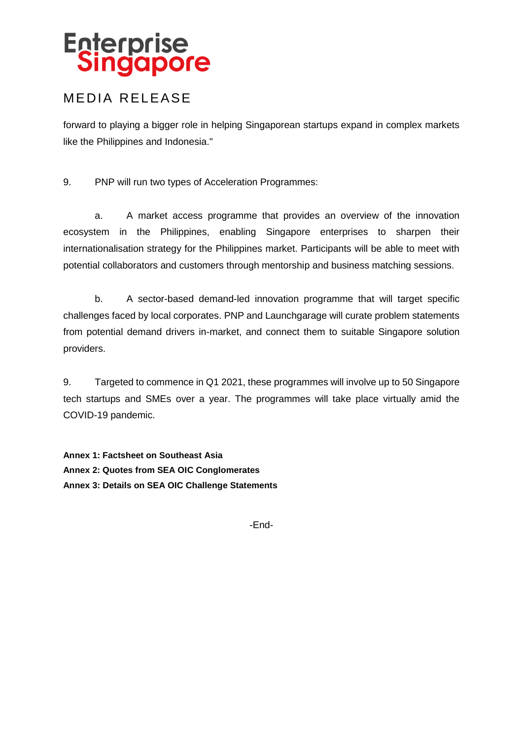### **MEDIA RELEASE**

forward to playing a bigger role in helping Singaporean startups expand in complex markets like the Philippines and Indonesia."

9. PNP will run two types of Acceleration Programmes:

a. A market access programme that provides an overview of the innovation ecosystem in the Philippines, enabling Singapore enterprises to sharpen their internationalisation strategy for the Philippines market. Participants will be able to meet with potential collaborators and customers through mentorship and business matching sessions.

b. A sector-based demand-led innovation programme that will target specific challenges faced by local corporates. PNP and Launchgarage will curate problem statements from potential demand drivers in-market, and connect them to suitable Singapore solution providers.

9. Targeted to commence in Q1 2021, these programmes will involve up to 50 Singapore tech startups and SMEs over a year. The programmes will take place virtually amid the COVID-19 pandemic.

**Annex 1: Factsheet on Southeast Asia Annex 2: Quotes from SEA OIC Conglomerates Annex 3: Details on SEA OIC Challenge Statements**

-End-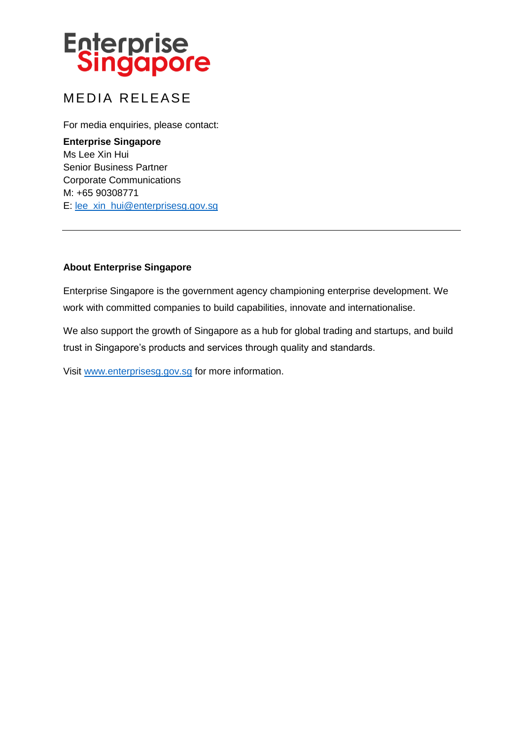### **MEDIA RELEASE**

For media enquiries, please contact:

**Enterprise Singapore** Ms Lee Xin Hui Senior Business Partner Corporate Communications M: +65 90308771 E: [lee\\_xin\\_hui@enterprisesg.gov.sg](mailto:lee_xin_hui@enterprisesg.gov.sg)

#### **About Enterprise Singapore**

Enterprise Singapore is the government agency championing enterprise development. We work with committed companies to build capabilities, innovate and internationalise.

We also support the growth of Singapore as a hub for global trading and startups, and build trust in Singapore's products and services through quality and standards.

Visit [www.enterprisesg.gov.sg](http://www.enterprisesg.gov.sg/) for more information.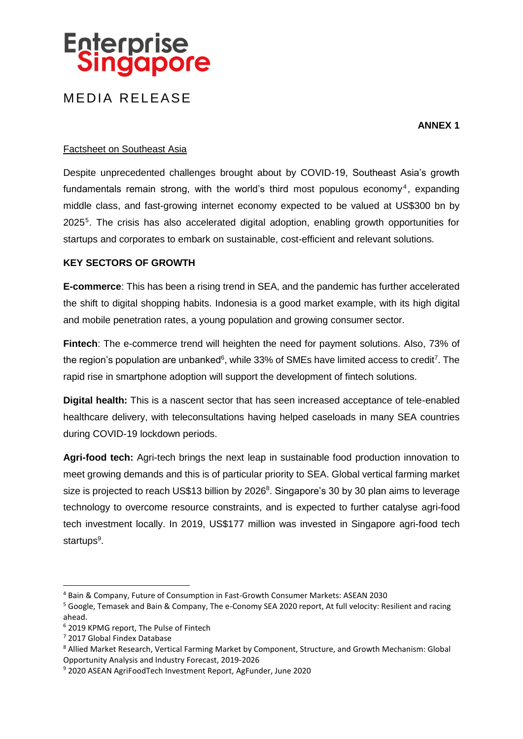### **MEDIA RELEASE**

**ANNEX 1**

#### Factsheet on Southeast Asia

Despite unprecedented challenges brought about by COVID-19, Southeast Asia's growth fundamentals remain strong, with the world's third most populous economy<sup>4</sup>, expanding middle class, and fast-growing internet economy expected to be valued at US\$300 bn by 2025<sup>5</sup> . The crisis has also accelerated digital adoption, enabling growth opportunities for startups and corporates to embark on sustainable, cost-efficient and relevant solutions.

#### **KEY SECTORS OF GROWTH**

**E-commerce**: This has been a rising trend in SEA, and the pandemic has further accelerated the shift to digital shopping habits. Indonesia is a good market example, with its high digital and mobile penetration rates, a young population and growing consumer sector.

**Fintech**: The e-commerce trend will heighten the need for payment solutions. Also, 73% of the region's population are unbanked $6$ , while 33% of SMEs have limited access to credit<sup>7</sup>. The rapid rise in smartphone adoption will support the development of fintech solutions.

**Digital health:** This is a nascent sector that has seen increased acceptance of tele-enabled healthcare delivery, with teleconsultations having helped caseloads in many SEA countries during COVID-19 lockdown periods.

**Agri-food tech:** Agri-tech brings the next leap in sustainable food production innovation to meet growing demands and this is of particular priority to SEA. Global vertical farming market size is projected to reach US\$13 billion by 2026<sup>8</sup>. Singapore's 30 by 30 plan aims to leverage technology to overcome resource constraints, and is expected to further catalyse agri-food tech investment locally. In 2019, US\$177 million was invested in Singapore agri-food tech startups<sup>9</sup>.

1

<sup>4</sup> Bain & Company, Future of Consumption in Fast-Growth Consumer Markets: ASEAN 2030

<sup>5</sup> Google, Temasek and Bain & Company, The e-Conomy SEA 2020 report, At full velocity: Resilient and racing ahead.

<sup>6</sup> 2019 KPMG report, The Pulse of Fintech

<sup>7</sup> 2017 Global Findex Database

<sup>8</sup> Allied Market Research, Vertical Farming Market by Component, Structure, and Growth Mechanism: Global Opportunity Analysis and Industry Forecast, 2019-2026

<sup>9</sup> 2020 ASEAN AgriFoodTech Investment Report, AgFunder, June 2020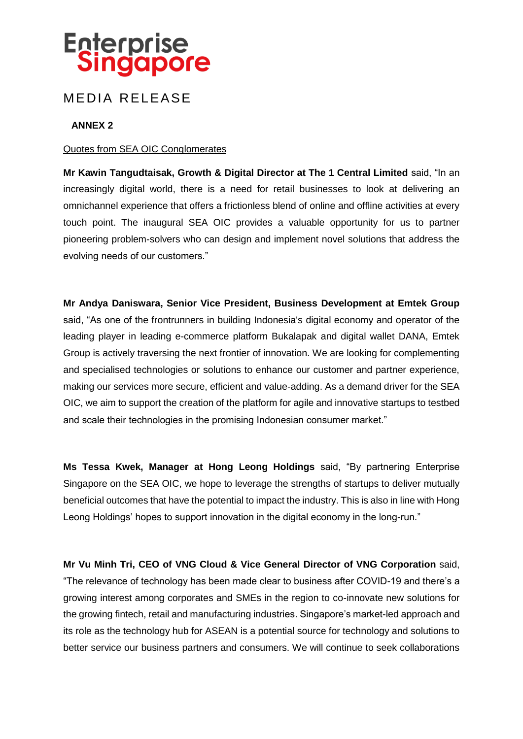### **MEDIA RELEASE**

#### **ANNEX 2**

#### Quotes from SEA OIC Conglomerates

**Mr Kawin Tangudtaisak, Growth & Digital Director at The 1 Central Limited** said, "In an increasingly digital world, there is a need for retail businesses to look at delivering an omnichannel experience that offers a frictionless blend of online and offline activities at every touch point. The inaugural SEA OIC provides a valuable opportunity for us to partner pioneering problem-solvers who can design and implement novel solutions that address the evolving needs of our customers."

**Mr Andya Daniswara, Senior Vice President, Business Development at Emtek Group** said, "As one of the frontrunners in building Indonesia's digital economy and operator of the leading player in leading e-commerce platform Bukalapak and digital wallet DANA, Emtek Group is actively traversing the next frontier of innovation. We are looking for complementing and specialised technologies or solutions to enhance our customer and partner experience, making our services more secure, efficient and value-adding. As a demand driver for the SEA OIC, we aim to support the creation of the platform for agile and innovative startups to testbed and scale their technologies in the promising Indonesian consumer market."

**Ms Tessa Kwek, Manager at Hong Leong Holdings** said, "By partnering Enterprise Singapore on the SEA OIC, we hope to leverage the strengths of startups to deliver mutually beneficial outcomes that have the potential to impact the industry. This is also in line with Hong Leong Holdings' hopes to support innovation in the digital economy in the long-run."

**Mr Vu Minh Tri, CEO of VNG Cloud & Vice General Director of VNG Corporation** said, "The relevance of technology has been made clear to business after COVID-19 and there's a growing interest among corporates and SMEs in the region to co-innovate new solutions for the growing fintech, retail and manufacturing industries. Singapore's market-led approach and its role as the technology hub for ASEAN is a potential source for technology and solutions to better service our business partners and consumers. We will continue to seek collaborations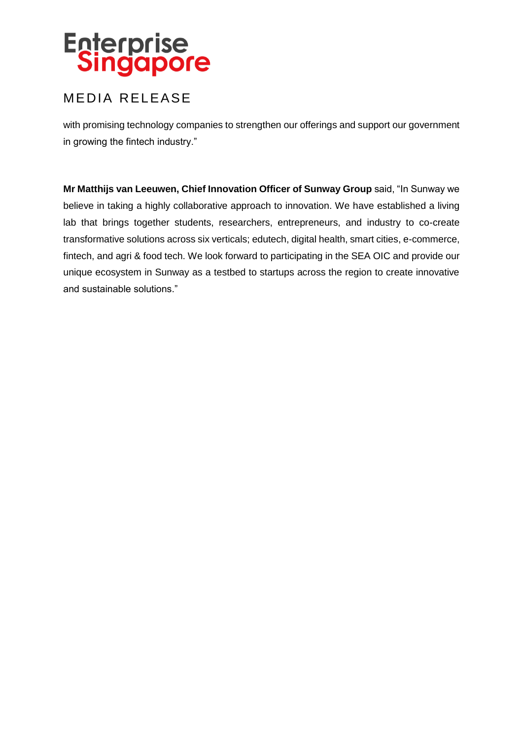### **MEDIA RELEASE**

with promising technology companies to strengthen our offerings and support our government in growing the fintech industry."

**Mr Matthijs van Leeuwen, Chief Innovation Officer of Sunway Group** said, "In Sunway we believe in taking a highly collaborative approach to innovation. We have established a living lab that brings together students, researchers, entrepreneurs, and industry to co-create transformative solutions across six verticals; edutech, digital health, smart cities, e-commerce, fintech, and agri & food tech. We look forward to participating in the SEA OIC and provide our unique ecosystem in Sunway as a testbed to startups across the region to create innovative and sustainable solutions."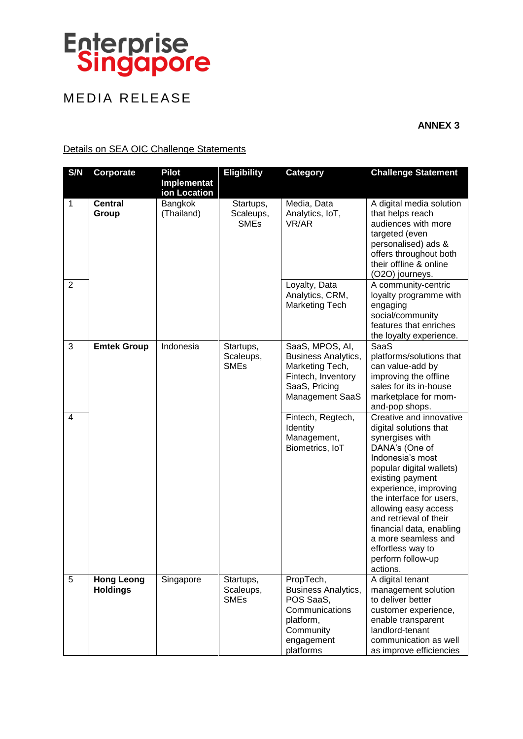## MEDIA RELEASE

**ANNEX 3**

#### Details on SEA OIC Challenge Statements

| S/N                 | Corporate               | <b>Pilot</b>                | <b>Eligibility</b>                    | <b>Category</b>                                                                                                                                                                                      | <b>Challenge Statement</b>                                                                                                                                                                                                                                                                                                                                           |
|---------------------|-------------------------|-----------------------------|---------------------------------------|------------------------------------------------------------------------------------------------------------------------------------------------------------------------------------------------------|----------------------------------------------------------------------------------------------------------------------------------------------------------------------------------------------------------------------------------------------------------------------------------------------------------------------------------------------------------------------|
|                     |                         | Implementat<br>ion Location |                                       |                                                                                                                                                                                                      |                                                                                                                                                                                                                                                                                                                                                                      |
| $\mathbf 1$         | <b>Central</b><br>Group | Bangkok<br>(Thailand)       | Startups,<br>Scaleups,<br><b>SMEs</b> | Media, Data<br>Analytics, IoT,<br>VR/AR                                                                                                                                                              | A digital media solution<br>that helps reach<br>audiences with more<br>targeted (even<br>personalised) ads &<br>offers throughout both<br>their offline & online<br>(O2O) journeys.                                                                                                                                                                                  |
| $\overline{2}$      |                         |                             |                                       | Loyalty, Data<br>Analytics, CRM,<br><b>Marketing Tech</b>                                                                                                                                            | A community-centric<br>loyalty programme with<br>engaging<br>social/community<br>features that enriches<br>the loyalty experience.                                                                                                                                                                                                                                   |
| 3<br>$\overline{4}$ | <b>Emtek Group</b>      | Indonesia                   | Startups,<br>Scaleups,<br><b>SMEs</b> | SaaS, MPOS, AI,<br><b>Business Analytics,</b><br>Marketing Tech,<br>Fintech, Inventory<br>SaaS, Pricing<br><b>Management SaaS</b><br>Fintech, Regtech,<br>Identity<br>Management,<br>Biometrics, IoT | SaaS<br>platforms/solutions that<br>can value-add by<br>improving the offline<br>sales for its in-house<br>marketplace for mom-<br>and-pop shops.<br>Creative and innovative<br>digital solutions that<br>synergises with<br>DANA's (One of<br>Indonesia's most<br>popular digital wallets)<br>existing payment<br>experience, improving<br>the interface for users, |
| 5                   | <b>Hong Leong</b>       | Singapore                   | Startups,                             | PropTech,                                                                                                                                                                                            | allowing easy access<br>and retrieval of their<br>financial data, enabling<br>a more seamless and<br>effortless way to<br>perform follow-up<br>actions.<br>A digital tenant                                                                                                                                                                                          |
|                     | <b>Holdings</b>         |                             | Scaleups,<br><b>SMEs</b>              | Business Analytics,<br>POS SaaS,<br>Communications<br>platform,<br>Community<br>engagement<br>platforms                                                                                              | management solution<br>to deliver better<br>customer experience,<br>enable transparent<br>landlord-tenant<br>communication as well<br>as improve efficiencies                                                                                                                                                                                                        |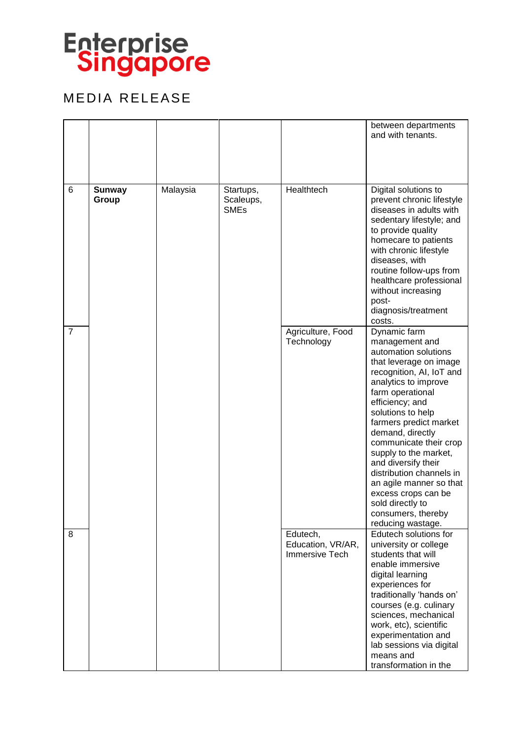

## MEDIA RELEASE

|                |                        |          |                                       |                                                        | between departments<br>and with tenants.                                                                                                                                                                                                                                                                                                                                                                                                                              |
|----------------|------------------------|----------|---------------------------------------|--------------------------------------------------------|-----------------------------------------------------------------------------------------------------------------------------------------------------------------------------------------------------------------------------------------------------------------------------------------------------------------------------------------------------------------------------------------------------------------------------------------------------------------------|
| 6              | <b>Sunway</b><br>Group | Malaysia | Startups,<br>Scaleups,<br><b>SMEs</b> | Healthtech                                             | Digital solutions to<br>prevent chronic lifestyle<br>diseases in adults with<br>sedentary lifestyle; and<br>to provide quality<br>homecare to patients<br>with chronic lifestyle<br>diseases, with<br>routine follow-ups from<br>healthcare professional<br>without increasing<br>post-<br>diagnosis/treatment<br>costs.                                                                                                                                              |
| $\overline{7}$ |                        |          |                                       | Agriculture, Food<br>Technology                        | Dynamic farm<br>management and<br>automation solutions<br>that leverage on image<br>recognition, AI, IoT and<br>analytics to improve<br>farm operational<br>efficiency; and<br>solutions to help<br>farmers predict market<br>demand, directly<br>communicate their crop<br>supply to the market,<br>and diversify their<br>distribution channels in<br>an agile manner so that<br>excess crops can be<br>sold directly to<br>consumers, thereby<br>reducing wastage. |
| 8              |                        |          |                                       | Edutech,<br>Education, VR/AR,<br><b>Immersive Tech</b> | Edutech solutions for<br>university or college<br>students that will<br>enable immersive<br>digital learning<br>experiences for<br>traditionally 'hands on'<br>courses (e.g. culinary<br>sciences, mechanical<br>work, etc), scientific<br>experimentation and<br>lab sessions via digital<br>means and<br>transformation in the                                                                                                                                      |